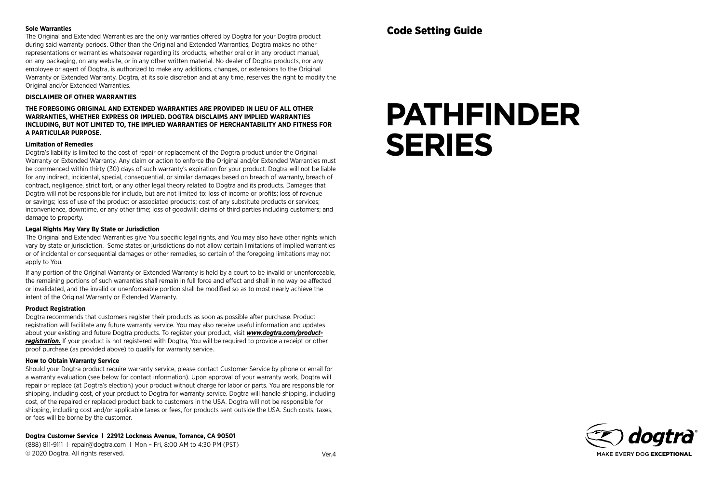#### **Sole Warranties**

The Original and Extended Warranties are the only warranties offered by Dogtra for your Dogtra product during said warranty periods. Other than the Original and Extended Warranties, Dogtra makes no other representations or warranties whatsoever regarding its products, whether oral or in any product manual, on any packaging, on any website, or in any other written material. No dealer of Dogtra products, nor any employee or agent of Dogtra, is authorized to make any additions, changes, or extensions to the Original Warranty or Extended Warranty. Dogtra, at its sole discretion and at any time, reserves the right to modify the Original and/or Extended Warranties.

### **DISCLAIMER OF OTHER WARRANTIES**

**THE FOREGOING ORIGINAL AND EXTENDED WARRANTIES ARE PROVIDED IN LIEU OF ALL OTHER WARRANTIES, WHETHER EXPRESS OR IMPLIED. DOGTRA DISCLAIMS ANY IMPLIED WARRANTIES INCLUDING, BUT NOT LIMITED TO, THE IMPLIED WARRANTIES OF MERCHANTABILITY AND FITNESS FOR A PARTICULAR PURPOSE.** 

#### **Limitation of Remedies**

Dogtra's liability is limited to the cost of repair or replacement of the Dogtra product under the Original Warranty or Extended Warranty. Any claim or action to enforce the Original and/or Extended Warranties must be commenced within thirty (30) days of such warranty's expiration for your product. Dogtra will not be liable for any indirect, incidental, special, consequential, or similar damages based on breach of warranty, breach of contract, negligence, strict tort, or any other legal theory related to Dogtra and its products. Damages that Dogtra will not be responsible for include, but are not limited to: loss of income or profits; loss of revenue or savings; loss of use of the product or associated products; cost of any substitute products or services; inconvenience, downtime, or any other time; loss of goodwill; claims of third parties including customers; and damage to property.

## **Legal Rights May Vary By State or Jurisdiction**

The Original and Extended Warranties give You specific legal rights, and You may also have other rights which vary by state or jurisdiction. Some states or jurisdictions do not allow certain limitations of implied warranties or of incidental or consequential damages or other remedies, so certain of the foregoing limitations may not apply to You.

If any portion of the Original Warranty or Extended Warranty is held by a court to be invalid or unenforceable, the remaining portions of such warranties shall remain in full force and effect and shall in no way be affected or invalidated, and the invalid or unenforceable portion shall be modified so as to most nearly achieve the intent of the Original Warranty or Extended Warranty.

## **Product Registration**

Dogtra recommends that customers register their products as soon as possible after purchase. Product registration will facilitate any future warranty service. You may also receive useful information and updates about your existing and future Dogtra products. To register your product, visit **www.dogtra.com/product***registration.* If your product is not registered with Dogtra, You will be required to provide a receipt or other proof purchase (as provided above) to qualify for warranty service.

## **How to Obtain Warranty Service**

Should your Dogtra product require warranty service, please contact Customer Service by phone or email for a warranty evaluation (see below for contact information). Upon approval of your warranty work, Dogtra will repair or replace (at Dogtra's election) your product without charge for labor or parts. You are responsible for shipping, including cost, of your product to Dogtra for warranty service. Dogtra will handle shipping, including cost, of the repaired or replaced product back to customers in the USA. Dogtra will not be responsible for shipping, including cost and/or applicable taxes or fees, for products sent outside the USA. Such costs, taxes, or fees will be borne by the customer.

## **Dogtra Customer Service l 22912 Lockness Avenue, Torrance, CA 90501**

(888) 811-9111 l repair@dogtra.com l Mon – Fri, 8:00 AM to 4:30 PM (PST) © 2020 Dogtra. All rights reserved.

# **PATHFINDER SERIES**